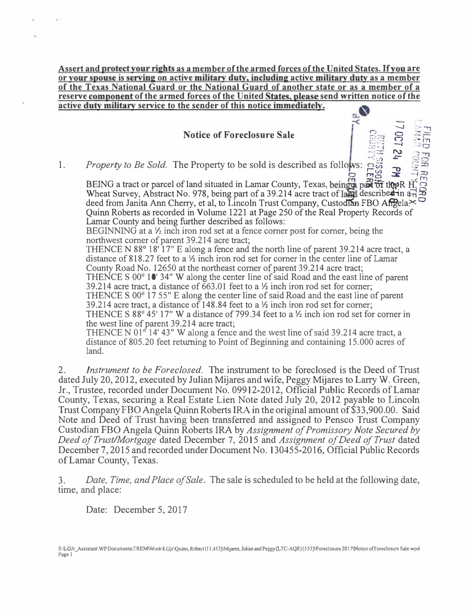Assert and protect your rights as a member of the armed forces of the United States. If you are or your spouse is serving on active military duty, including active military duty as a member of the Texas National Guard or the National Guard of another state or as a member of a reserve component of the armed forces of the United States, please send written notice of the active duty military service to the sender of this notice immediately.

## Notice of Foreclosure Sale <sup>c</sup>

1. Property to Be Sold. The Property to be sold is described as follows:  $\frac{1}{200}$   $\frac{1}{20}$   $\frac{1}{20}$   $\frac{1}{20}$   $\frac{1}{20}$   $\frac{1}{20}$   $\frac{1}{20}$   $\frac{1}{20}$   $\frac{1}{20}$   $\frac{1}{20}$   $\frac{1}{20}$   $\frac{1}{20}$   $\frac{1}{20}$   $\frac{$ 0 ,.,, g; :r -f Fg BEING a tract or parcel of land situated in Lamar County, Texas, being part of the R  $\frac{H}{H}$ Wheat Survey, Abstract No. 978, being part of a 39.214 acre tract of land described in  $a_{\text{B}}$ deed from Janita Ann Cherry, et al, to Lincoln Trust Company, Custodian FBO Afgela<sup> $\approx$ </sup> Quinn Roberts as recorded in Volume 1221 at Page 250 of the Real Property Records of Lamar County and being further described as follows:

 $-$ 

 $\mathbb{R}$  of  $\mathbb{R}$  in  $Q \rightarrow P$ 

 $\mathbb{R}^n$  -  $\mathbb{R}^n$ ... :::;;: "> ').,, -<. .&:- :.::.;,

 $\bigcirc$ 

 $\ddot{\ddot{\omega}}$ 

BEGINNING at a  $\frac{1}{2}$  inch iron rod set at a fence corner post for corner, being the northwest comer of parent 39.214 acre tract;

THENCE N 88° 18' 17" E along a fence and the north line of parent 39.214 acre tract, a distance of 818.27 feet to a Yz inch iron rod set for comer in the center line of Lamar County Road No. 12650 at the northeast corner of parent 39.214 acre tract; THENCE S 00° 10' 34" W along the center line of said Road and the east line of parent 39.214 acre tract, a distance of  $\overline{663.01}$  feet to a  $\frac{1}{2}$  inch iron rod set for corner; THENCE S 00° 17 55" E along the center line of said Road and the east line of parent 39.214 acre tract, a distance of 148.84 feet to a  $\frac{1}{2}$  inch iron rod set for corner; THENCE S 88 $\degree$  45' 17" W a distance of 799.34 feet to a  $\frac{1}{2}$  inch ion rod set for corner in the west line of parent 39.214 acre tract; THENCE N 01° 14' 43" W along a fence and the west line of said 39.214 acre tract, a

distance of 805.20 feet returning to Point of Beginning and containing 15.000 acres of land.

2. Instrument to be Foreclosed. The instrument to be foreclosed is the Deed of Trust dated July 20, 2012, executed by Julian Mijares and wife, Peggy Mijares to Larry W. Green, Jr., Trustee, recorded under Document No. 09912-2012, Official Public Records of Lamar County, Texas, securing a Real Estate Lien Note dated July 20, 2012 payable to Lincoln Trust Company FBO Angela Quinn Roberts IRA in the original amount of \$33,900.00. Said Note and Deed of Trust having been transferred and assigned to Pensco Trust Company Custodian FBO Angela Quinn Roberts IRA by Assignment of Promissory Note Secured by Deed of Trust/Mortgage dated December 7, 2015 and Assignment of Deed of Trust dated December 7, 2015 and recorded under Document No. 130455-2016, Official Public Records of Lamar County, Texas.

3. Date, Time, and Place of Sale. The sale is scheduled to be held at the following date, time, and place:

Date: December 5, 2017

,.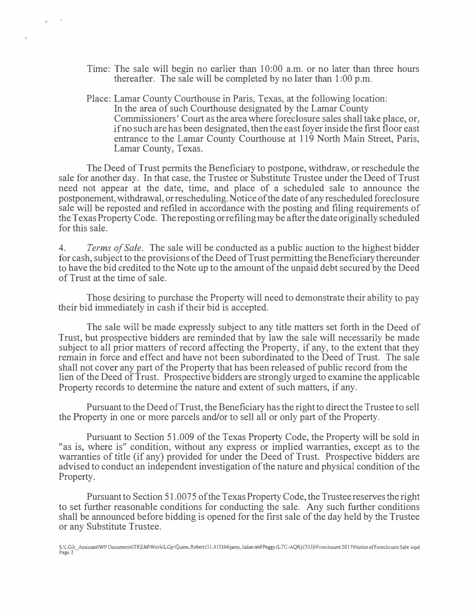- Time: The sale will begin no earlier than 10:00 a.m. or no later than three hours thereafter. The sale will be completed by no later than 1 :00 p.m.
- Place: Lamar County Courthouse in Paris, Texas, at the following location: In the area of such Courthouse designated by the Lamar County Commissioners' Court as the area where foreclosure sales shall take place, or, if no such are has been designated, then the east foyer inside the first floor east entrance to the Lamar County Courthouse at 119 North Main Street, Paris, Lamar County, Texas.

The Deed of Trust permits the Beneficiary to postpone, withdraw, or reschedule the sale for another day. In that case, the Trustee or Substitute Trustee under the Deed of Trust need not appear at the date, time, and place of a scheduled sale to announce the postponement, withdrawal, or rescheduling. Notice of the date of any rescheduled foreclosure sale will be reposted and refiled in accordance with the posting and filing requirements of the Texas Property Code. The reposting or refiling may be after the date originally scheduled for this sale.

4. Terms of Sale. The sale will be conducted as a public auction to the highest bidder for cash, subject to the provisions of the Deed of Trust permitting the Beneficiary thereunder to have the bid credited to the Note up to the amount of the unpaid debt secured by the Deed of Trust at the time of sale.

Those desiring to purchase the Property will need to demonstrate their ability to pay their bid immediately in cash if their bid is accepted.

The sale will be made expressly subject to any title matters set forth in the Deed of Trust, but prospective bidders are reminded that by law the sale will necessarily be made subject to all prior matters of record affecting the Property, if any, to the extent that they remain in force and effect and have not been subordinated to the Deed of Trust. The sale shall not cover any part of the Property that has been released of public record from the lien of the Deed of Trust. Prospective bidders are strongly urged to examine the applicable Property records to determine the nature and extent of such matters, if any.

Pursuant to the Deed ofTrust, the Beneficiary has the right to direct the Trustee to sell the Property in one or more parcels and/or to sell all or only part of the Property.

Pursuant to Section 51.009 of the Texas Property Code, the Property will be sold in "as is, where is" condition, without any express or implied warranties, except as to the warranties of title (if any) provided for under the Deed of Trust. Prospective bidders are advised to conduct an independent investigation of the nature and physical condition of the Property.

Pursuant to Section 51.0075 of the Texas Property Code, the Trustee reserves the right to set further reasonable conditions for conducting the sale. Any such further conditions shall be announced before bidding is opened for the first sale of the day held by the Trustee or any Substitute Trustee.

S:\LGJr \_Assistant\WP Documents\TREM\ Work\LGjr\Quinn, Roben (11,413)\Mijares, Julian and Peggy (LTC-AQR) (533)\Foreclosure 2017\Notice offoreclosurc Sale. wpd Page 2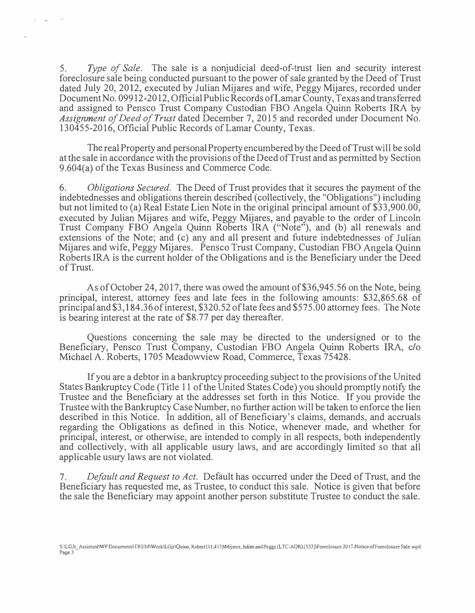5. Type of Sale. The sale is a nonjudicial deed-of-trust lien and security interest foreclosure sale being conducted pursuant to the power of sale granted by the Deed of Trust dated July 20, 2012, executed by Julian Mijares and wife, Peggy Mijares, recorded under Document No. 09912-2012, Official Public Records of Lamar County, Texas and transferred and assigned to Pensco Trust Company Custodian FBO Angela Quinn Roberts IRA by Assignment of Deed of Trust dated December 7, 2015 and recorded under Document No. 130455-2016, Official Public Records of Lamar County, Texas.

The real Property and personal Property encumbered by the Deed of Trust will be sold at the sale in accordance with the provisions of the Deed of Trust and as permitted by Section 9.604(a) of the Texas Business and Commerce Code.

6. Obligations Secured. The Deed of Trust provides that it secures the payment of the indebtednesses and obligations therein described (collectively, the "Obligations") including but not limited to (a) Real Estate Lien Note in the original principal amount of \$33,900.00, executed by Julian Mijares and wife, Peggy Mijares, and payable to the order of Lincoln Trust Company FBO Angela Quinn Roberts IRA ("Note"), and (b) all renewals and extensions of the Note; and (c) any and all present and future indebtednesses of Julian Mijares and wife, Peggy Mijares. Pensco Trust Company, Custodian FBO Angela Quinn Roberts IRA is the current holder of the Obligations and is the Beneficiary under the Deed of Trust.

As of October 24, 2017, there was owed the amount of\$36,945.56 on the Note, being principal, interest, attorney fees and late fees in the following amounts: \$32,865.68 of principal and \$3,184.36 ofinterest, \$320.52 oflate fees and \$575.00 attorney fees. The Note is bearing interest at the rate of \$8.77 per day thereafter.

Questions concerning the sale may be directed to the undersigned or to the Beneficiary, Pensco Trust Company, Custodian FBO Angela Quinn Roberts IRA, c/o Michael A. Roberts, 1705 Meadowview Road, Commerce, Texas 75428.

If you are a debtor in a bankruptcy proceeding subject to the provisions of the United States Bankruptcy Code (Title 11 of the United States Code) you should promptly notify the Trustee and the Beneficiary at the addresses set forth in this Notice. If you provide the Trustee with the Bankruptcy Case Number, no further action will be taken to enforce the lien described in this Notice. In addition, all of Beneficiary's claims, demands, and accruals regarding the Obligations as defined in this Notice, whenever made, and whether for principal, interest, or otherwise, are intended to comply in all respects, both independently and collectively, with all applicable usury laws, and are accordingly limited so that all applicable usury laws are not violated.

7. Default and Request to Act. Default has occurred under the Deed of Trust, and the Beneficiary has requested me, as Trustee, to conduct this sale. Notice is given that before the sale the Beneficiary may appoint another person substitute Trustee to conduct the sale.